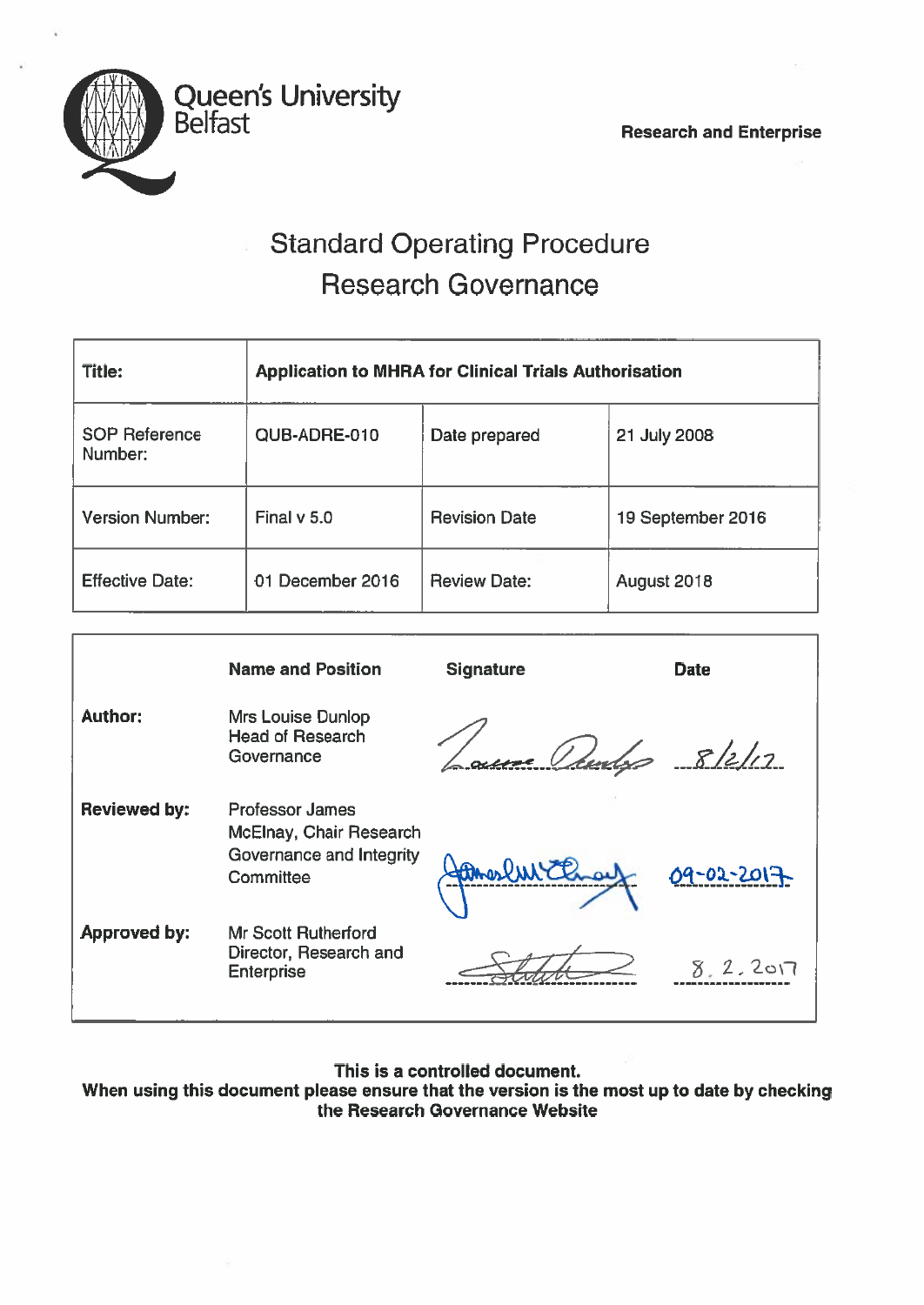

# Standard Operating Procedure Research Governance

| <b>Title:</b>                   | <b>Application to MHRA for Clinical Trials Authorisation</b> |                      |                   |  |
|---------------------------------|--------------------------------------------------------------|----------------------|-------------------|--|
| <b>SOP Reference</b><br>Number: | QUB-ADRE-010                                                 | Date prepared        | 21 July 2008      |  |
| <b>Version Number:</b>          | Final $v$ 5.0                                                | <b>Revision Date</b> | 19 September 2016 |  |
| <b>Effective Date:</b>          | 01 December 2016                                             | <b>Review Date:</b>  | August 2018       |  |

|                     | <b>Name and Position</b>                                                                   | <b>Signature</b> | <b>Date</b> |
|---------------------|--------------------------------------------------------------------------------------------|------------------|-------------|
| <b>Author:</b>      | <b>Mrs Louise Dunlop</b><br><b>Head of Research</b><br>Governance                          | re Veur          | 8/2/12      |
| <b>Reviewed by:</b> | <b>Professor James</b><br>McElnay, Chair Research<br>Governance and Integrity<br>Committee | may              | 09-02-2017  |
| <b>Approved by:</b> | <b>Mr Scott Rutherford</b><br>Director, Research and<br><b>Enterprise</b>                  |                  | 8.2.201     |

This is <sup>a</sup> controlled document.

When using this document please ensure that the version is the most up to date by checking the Research Governance Website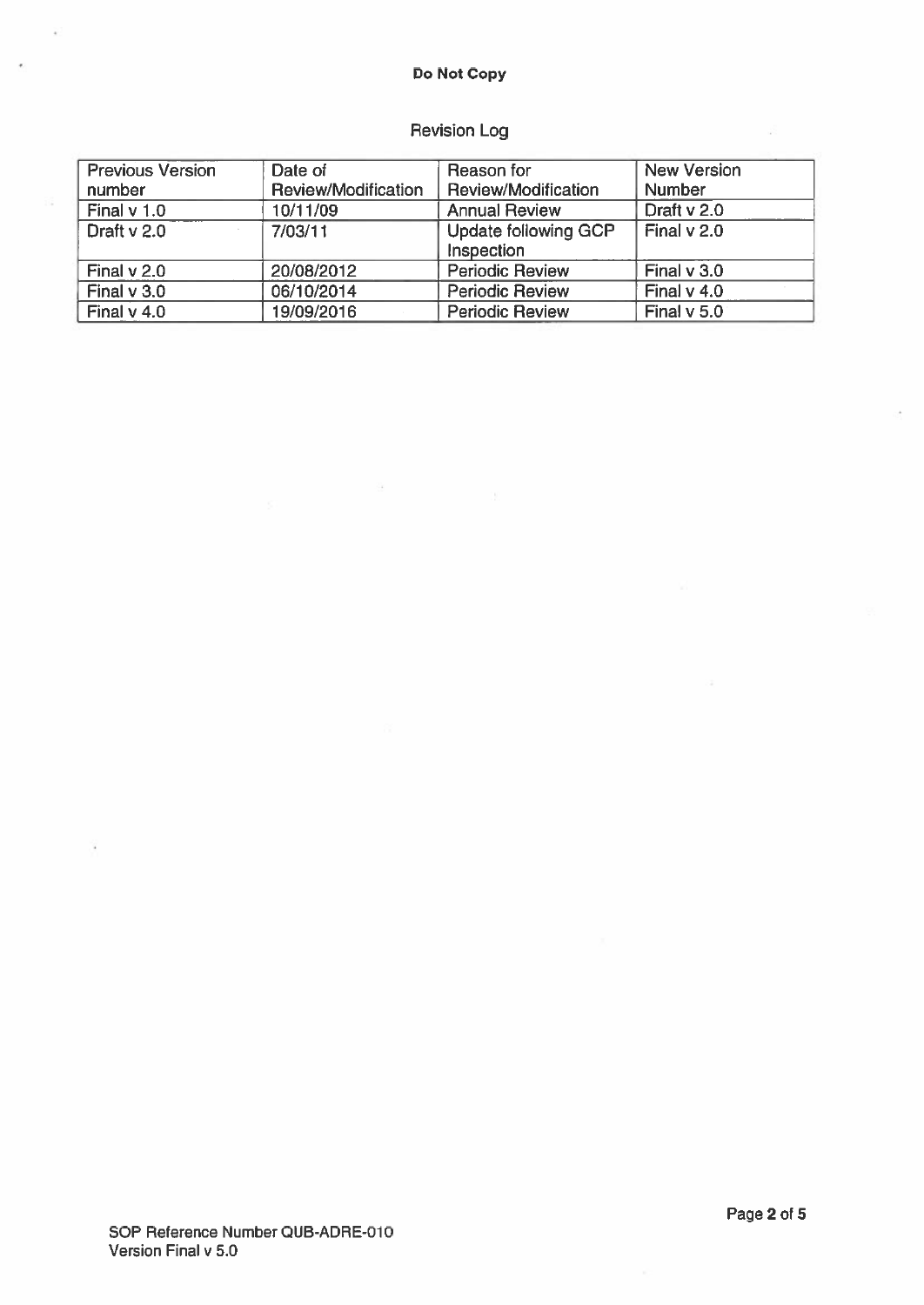# Do Not Copy

# Revision Log

| <b>Previous Version</b> | Date of             | Reason for                                | <b>New Version</b> |
|-------------------------|---------------------|-------------------------------------------|--------------------|
| number                  | Review/Modification | <b>Review/Modification</b>                | <b>Number</b>      |
| Final $v$ 1.0           | 10/11/09            | <b>Annual Review</b>                      | Draft v 2.0        |
| Draft v 2.0             | 7/03/11             | <b>Update following GCP</b><br>Inspection | Final $v$ 2.0      |
| Final $v$ 2.0           | 20/08/2012          | <b>Periodic Review</b>                    | Final $v$ 3.0      |
| Final $v$ 3.0           | 06/10/2014          | <b>Periodic Review</b>                    | Final $v$ 4.0      |
| Final $v$ 4.0           | 19/09/2016          | <b>Periodic Review</b>                    | Final $v$ 5.0      |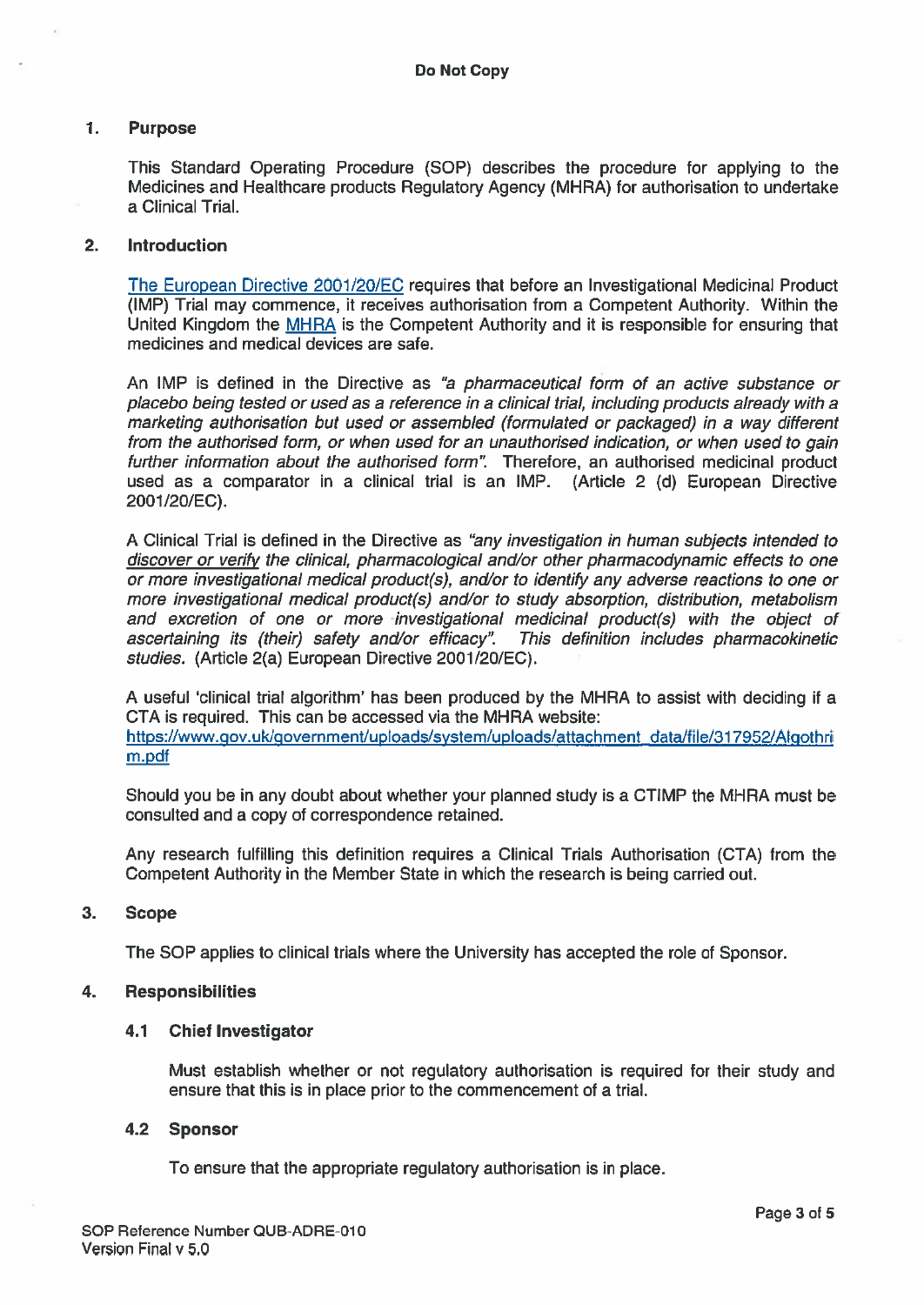# 1. Purpose

This Standard Operating Procedure (SOP) describes the procedure for applying to the Medicines and Healthcare products Regulatory Agency (MHRA) for authorisation to undertake <sup>a</sup> Clinical Trial.

### 2. Introduction

The European Directive 2001/20/EC requires that before an Investigational Medicinal Product (IMP) Trial may commence, it receives authorisation from <sup>a</sup> Competent Authority. Within the United Kingdom the MHRA is the Competent Authority and it is responsible for ensuring that medicines and medical devices are safe.

An IMP is defined in the Directive as "a pharmaceutical form of an active substance or placebo being tested or used as <sup>a</sup> reference in <sup>a</sup> clinical trial, including products already with <sup>a</sup> marketing authorisation but used or assembled (formulated or packaged) in <sup>a</sup> way different from the authorised form, or when used for an unauthorised indication, or when used to gain further information about the authorised form". Therefore, an authorised medicinal product used as <sup>a</sup> comparator in <sup>a</sup> clinical trial is an IMP. (Article 2 (d) European Directive 2001/20/EC).

A Clinical Trial is defined in the Directive as "any investigation in human subjects intended to discover or verify the clinical, pharmacological and/or other pharmacodynamic effects to one or more investigational medical product(s), and/or to identify any adverse reactions to one or more investigational medical product(s) and/or to study absorption, distribution, metabolism and excretion of one or more investigational medicinal product(s) with the object of ascertaining its (their) safety and/or efficacy": This definition includes pharmacokinetic studies. (Article 2(a) European Directive 2001/20/EC).

A useful 'clinical trial algorithm' has been produced by the MHRA to assist with deciding if <sup>a</sup> CTA is required. This can be accessed via the MHRA website: https://www.gov.uk/government/uploads/system/uploads/attachment\_data/file/317952/Algothri <u>m.pdf</u>

Should you be in any doubt about whether your planned study is <sup>a</sup> CTIMP the MHRA must be consulted and <sup>a</sup> copy of correspondence retained.

Any research fulfilling this definition requires <sup>a</sup> Clinical Trials Authorisation (CTA) from the Competent Authority in the Member State in which the research is being carried out.

#### 3. Scope

The SOP applies to clinical trials where the University has accepted the role of Sponsor.

# 4. Responsibilities

#### 4.1 Chief Investigator

Must establish whether or not regulatory authorisation is required for their study and ensure that this is in place prior to the commencement of <sup>a</sup> trial.

#### 4.2 Sponsor

To ensure that the appropriate regulatory authorisation is in place.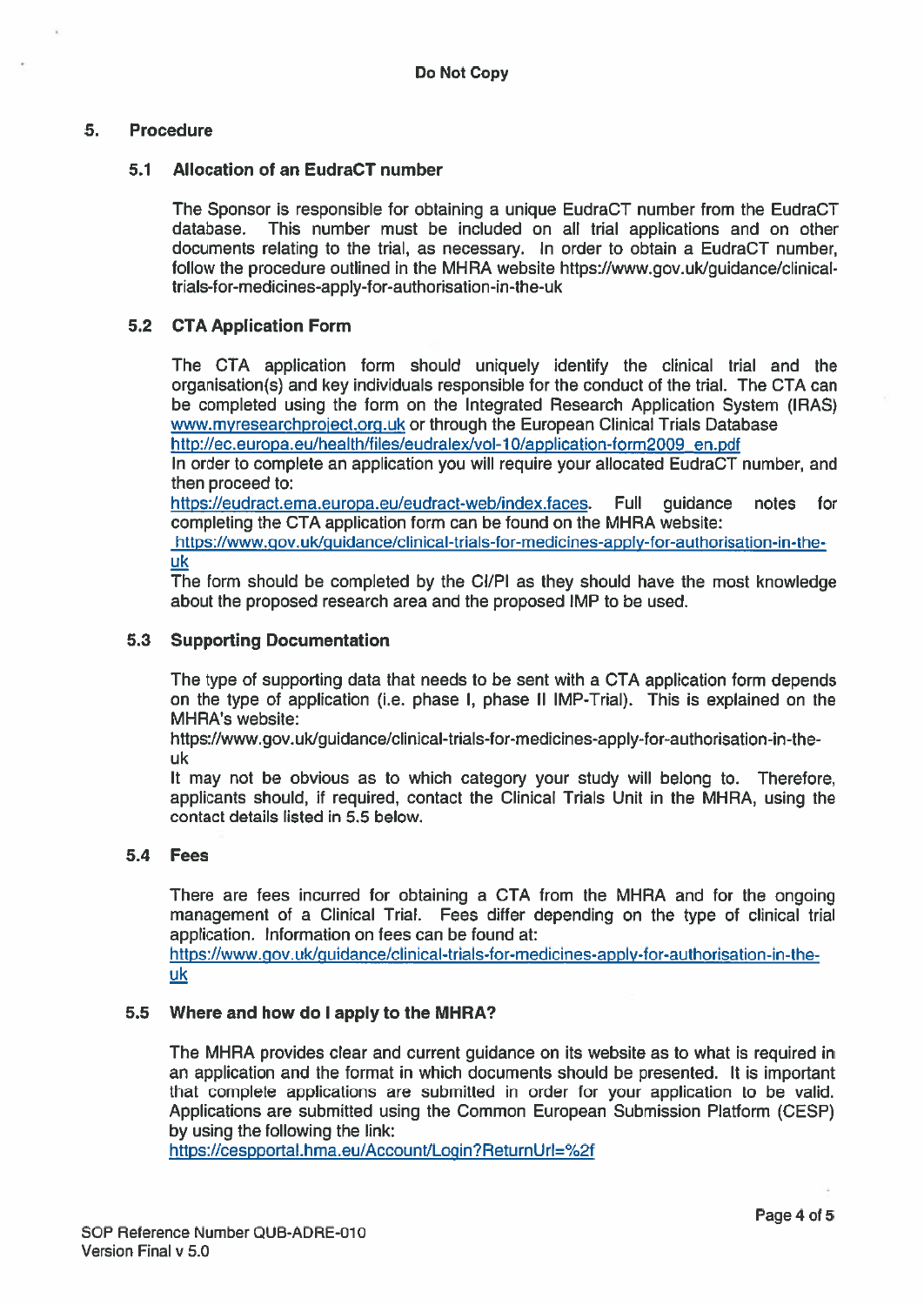# 5. Procedure

### 5.1 Allocation of an EudraCT number

The Sponsor is responsible for obtaining a unique EudraCT number from the EudraCT database. This number must be included on all trial applications and on other This number must be included on all trial applications and on other documents relating to the trial, as necessary. In order to obtain <sup>a</sup> EudraCT number, follow the procedure outlined in the MHRA website https://www.gov.uk/guidance/clinical trials-for-medicines-apply-tor-authorisation-in-the-uk

# 5.2 CTA Application Form

The CTA application form should uniquely identify the clinical trial and the organisation(s) and key individuals responsible for the conduct of the trial. The CTA can be completed using the form on the Integrated Research Application System (IRAS) www.myresearchproject.org.uk or through the European Clinical Trials Database http://ec.europa.eu/health/files/eudralex/vol-10/application-form2009 en.pdf

In order to complete an application you will require your allocated EudraCT number, and then proceed to:

https://eudract.ema.europa.eu/eudract-web/index.faces. Full guidance notes for completing the CTA application form can be found on the MHRA website:

https://www.gov.uk/guidance/clinical-trials-for-medicines-apply-for-authorisation-in-theuk

The form should be completed by the Cl/Fl as they should have the most knowledge about the proposed research area and the proposed IMP to be used.

# 5.3 Supporting Documentation

The type of supporting data that needs to be sent with <sup>a</sup> CTA application form depends on the type of application (i.e. phase I, phase II IMF-Trial). This is explained on the MHRA's website:

https://www.gov.uk/guidance/clinical-trials-for-medicines-apply-for-authorisation-in-the uk

It may not be obvious as to which category your study will belong to. Therefore, applicants should, if required, contact the Clinical Trials Unit in the MHRA, using the contact details listed in 5.5 below.

#### 5.4 Fees

There are fees incurred for obtaining <sup>a</sup> CTA from the MHRA and for the ongoing managemen<sup>t</sup> of <sup>a</sup> Clinical Trial. Fees differ depending on the type of clinical trial application. Information on fees can be found at:

https://www.gov.uk/guidance/clinical-trials-for-medicines-applv-for-authorisation-in-the uk

#### 5.5 Where and how do I apply to the MHRA?

The MHRA provides clear and current guidance on its website as to what is required in an application and the format in which documents should be presented. It is important that complete applications are submitted in order for your application to be valid. Applications are submitted using the Common European Submission Platform (CESP) by using the following the link:

https://cespportal.hma.eu/Account/Login?ReturnUrl=%2f